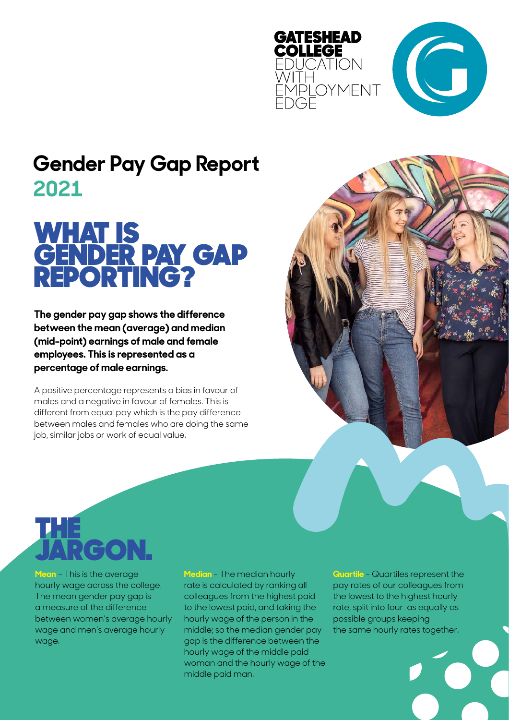



### **Gender Pay Gap Report 2021**

### WHAT IS GENDER PAY GAP REPORTING?

**The gender pay gap shows the difference between the mean (average) and median (mid-point) earnings of male and female employees. This is represented as a percentage of male earnings.** 

A positive percentage represents a bias in favour of males and a negative in favour of females. This is different from equal pay which is the pay difference between males and females who are doing the same job, similar jobs or work of equal value.



**Mean** – This is the average hourly wage across the college. The mean gender pay gap is a measure of the difference between women's average hourly wage and men's average hourly wage.

**Median** - The median hourly rate is calculated by ranking all colleagues from the highest paid to the lowest paid, and taking the hourly wage of the person in the middle; so the median gender pay gap is the difference between the hourly wage of the middle paid woman and the hourly wage of the middle paid man.

**Quartile** - Quartiles represent the pay rates of our colleagues from the lowest to the highest hourly rate, split into four as equally as possible groups keeping the same hourly rates together.

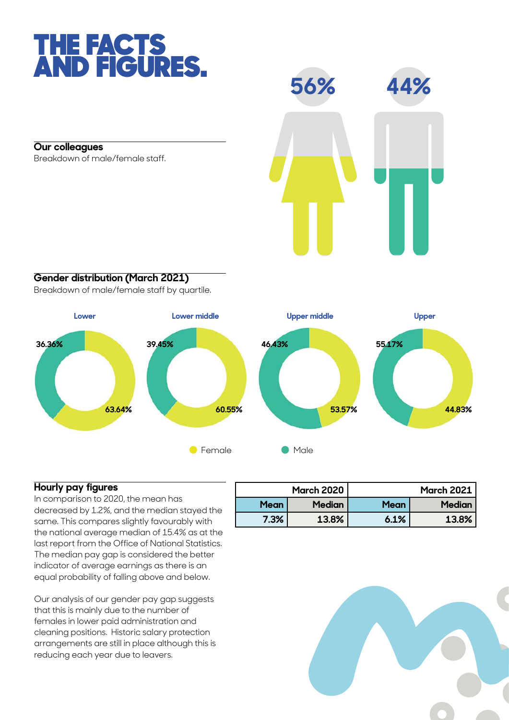## THE FACTS AND FIGURES.

**Our colleagues**

Breakdown of male/female staff.



### **Gender distribution (March 2021)**

Breakdown of male/female staff by quartile.



#### **Hourly pay figures**

In comparison to 2020, the mean has decreased by 1.2%, and the median stayed the same. This compares slightly favourably with the national average median of 15.4% as at the last report from the Office of National Statistics. The median pay gap is considered the better indicator of average earnings as there is an equal probability of falling above and below.

Our analysis of our gender pay gap suggests that this is mainly due to the number of females in lower paid administration and cleaning positions. Historic salary protection arrangements are still in place although this is reducing each year due to leavers.

|             | <b>March 2020</b> | <b>March 2021</b> |               |
|-------------|-------------------|-------------------|---------------|
| <b>Mean</b> | Median            | <b>Mean</b>       | <b>Median</b> |
| 7.3%        | 13.8%             | 6.1%              | 13.8%         |

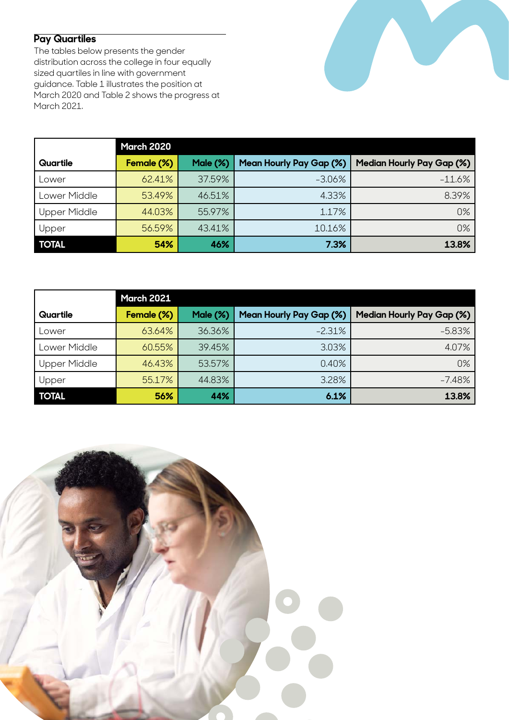**Pay Quartiles** 

The tables below presents the gender distribution across the college in four equally sized quartiles in line with government guidance. Table 1 illustrates the position at March 2020 and Table 2 shows the progress at March 2021.

|              | <b>March 2020</b> |          |                                |                                  |
|--------------|-------------------|----------|--------------------------------|----------------------------------|
| Quartile     | Female (%)        | Male (%) | <b>Mean Hourly Pay Gap (%)</b> | <b>Median Hourly Pay Gap (%)</b> |
| Lower        | 62.41%            | 37,59%   | $-3.06%$                       | $-11.6%$                         |
| Lower Middle | 53.49%            | 46.51%   | 4.33%                          | 8.39%                            |
| Upper Middle | 44.03%            | 55,97%   | 1.17%                          | 0%                               |
| Upper        | 56.59%            | 43.41%   | 10.16%                         | 0%                               |
| <b>TOTAL</b> | 54%               | 46%      | 7.3%                           | 13.8%                            |

|                     | <b>March 2021</b> |          |                                |                                  |  |
|---------------------|-------------------|----------|--------------------------------|----------------------------------|--|
| Quartile            | Female (%)        | Male (%) | <b>Mean Hourly Pay Gap (%)</b> | <b>Median Hourly Pay Gap (%)</b> |  |
| Lower               | 63.64%            | 36.36%   | $-2.31%$                       | $-5.83%$                         |  |
| Lower Middle        | 60.55%            | 39.45%   | 3.03%                          | 4.07%                            |  |
| <b>Upper Middle</b> | 46.43%            | 53.57%   | 0.40%                          | 0%                               |  |
| Upper               | 55.17%            | 44.83%   | 3.28%                          | $-7.48%$                         |  |
| <b>TOTAL</b>        | 56%               | 44%      | 6.1%                           | 13.8%                            |  |